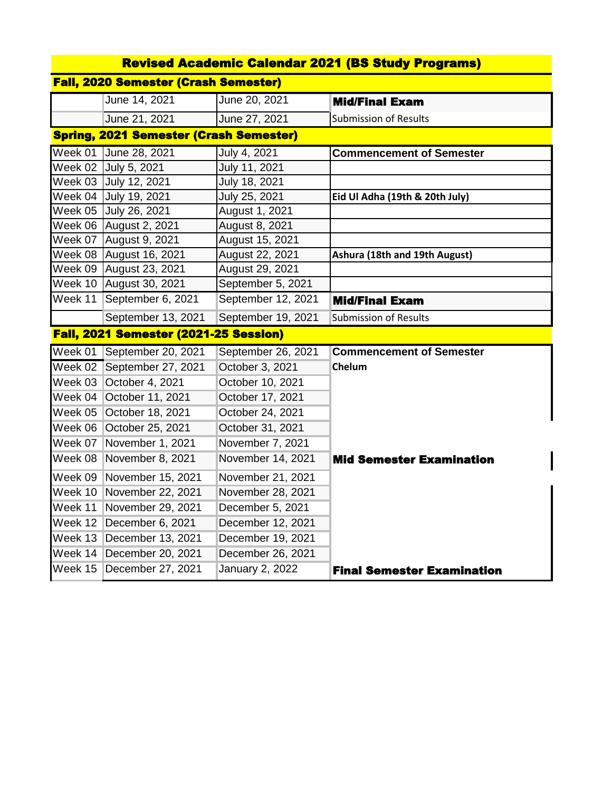| <b>Revised Academic Calendar 2021 (BS Study Programs)</b> |                                               |                    |                                   |  |  |  |
|-----------------------------------------------------------|-----------------------------------------------|--------------------|-----------------------------------|--|--|--|
| <b>Fall, 2020 Semester (Crash Semester)</b>               |                                               |                    |                                   |  |  |  |
|                                                           | June 14, 2021                                 | June 20, 2021      | <b>Mid/Final Exam</b>             |  |  |  |
|                                                           | June 21, 2021                                 | June 27, 2021      | <b>Submission of Results</b>      |  |  |  |
|                                                           | <b>Spring, 2021 Semester (Crash Semester)</b> |                    |                                   |  |  |  |
| Week $01$                                                 | June 28, 2021                                 | July 4, 2021       | <b>Commencement of Semester</b>   |  |  |  |
|                                                           | Week 02 July 5, 2021                          | July 11, 2021      |                                   |  |  |  |
|                                                           | Week 03 July 12, 2021                         | July 18, 2021      |                                   |  |  |  |
|                                                           | Week 04 July 19, 2021                         | July 25, 2021      | Eid Ul Adha (19th & 20th July)    |  |  |  |
| Week 05                                                   | July 26, 2021                                 | August 1, 2021     |                                   |  |  |  |
| Week 06                                                   | August 2, 2021                                | August 8, 2021     |                                   |  |  |  |
| Week 07                                                   | August 9, 2021                                | August 15, 2021    |                                   |  |  |  |
| Week 08                                                   | August 16, 2021                               | August 22, 2021    | Ashura (18th and 19th August)     |  |  |  |
| Week $09$                                                 | August 23, 2021                               | August 29, 2021    |                                   |  |  |  |
| Week 10                                                   | August 30, 2021                               | September 5, 2021  |                                   |  |  |  |
| Week 11                                                   | September 6, 2021                             | September 12, 2021 | <b>Mid/Final Exam</b>             |  |  |  |
|                                                           | September 13, 2021                            | September 19, 2021 | <b>Submission of Results</b>      |  |  |  |
|                                                           | Fall, 2021 Semester (2021-25 Session)         |                    |                                   |  |  |  |
| Week $01$                                                 | September 20, 2021                            | September 26, 2021 | <b>Commencement of Semester</b>   |  |  |  |
| Week 02                                                   | September 27, 2021                            | October 3, 2021    | Chelum                            |  |  |  |
| Week $03$                                                 | October 4, 2021                               | October 10, 2021   |                                   |  |  |  |
| Week $04$                                                 | October 11, 2021                              | October 17, 2021   |                                   |  |  |  |
| Week $05$                                                 | October 18, 2021                              | October 24, 2021   |                                   |  |  |  |
| Week 06                                                   | October 25, 2021                              | October 31, 2021   |                                   |  |  |  |
| Week 07                                                   | November 1, 2021                              | November 7, 2021   |                                   |  |  |  |
| Week 08                                                   | November 8, 2021                              | November 14, 2021  | <b>Mid Semester Examination</b>   |  |  |  |
| Week 09                                                   | November 15, 2021                             | November 21, 2021  |                                   |  |  |  |
| Week 10                                                   | November 22, 2021                             | November 28, 2021  |                                   |  |  |  |
| Week 11                                                   | November 29, 2021                             | December 5, 2021   |                                   |  |  |  |
| Week 12                                                   | December 6, 2021                              | December 12, 2021  |                                   |  |  |  |
| Week $13$                                                 | December 13, 2021                             | December 19, 2021  |                                   |  |  |  |
| Week 14                                                   | December 20, 2021                             | December 26, 2021  |                                   |  |  |  |
| Week 15                                                   | December 27, 2021                             | January 2, 2022    | <b>Final Semester Examination</b> |  |  |  |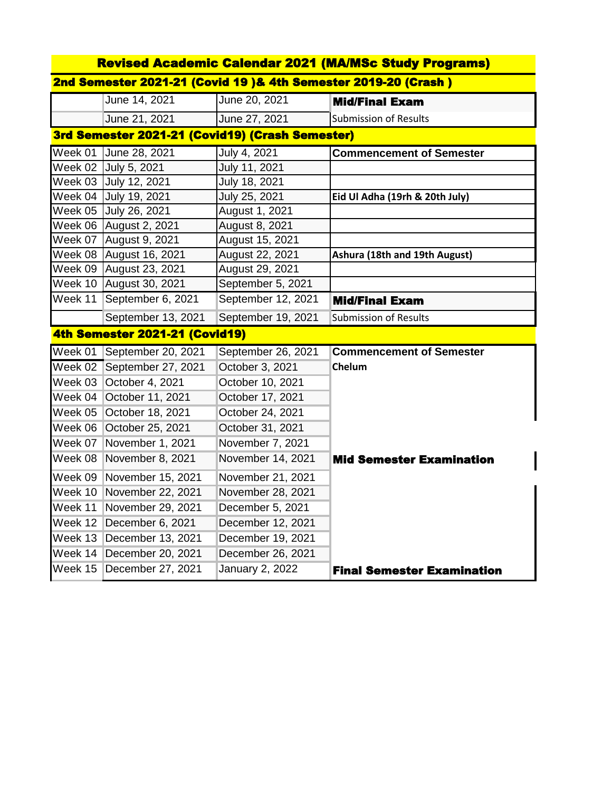| <b>Revised Academic Calendar 2021 (MA/MSc Study Programs)</b>   |                                |                        |                                   |  |  |  |
|-----------------------------------------------------------------|--------------------------------|------------------------|-----------------------------------|--|--|--|
| 2nd Semester 2021-21 (Covid 19 )& 4th Semester 2019-20 (Crash ) |                                |                        |                                   |  |  |  |
|                                                                 | June 14, 2021                  | June 20, 2021          | <b>Mid/Final Exam</b>             |  |  |  |
|                                                                 | June 21, 2021                  | June 27, 2021          | <b>Submission of Results</b>      |  |  |  |
| 3rd Semester 2021-21 (Covid19) (Crash Semester)                 |                                |                        |                                   |  |  |  |
| Week 01                                                         | June 28, 2021                  | July 4, 2021           | <b>Commencement of Semester</b>   |  |  |  |
| Week 02                                                         | July 5, 2021                   | July 11, 2021          |                                   |  |  |  |
|                                                                 | Week 03 July 12, 2021          | July 18, 2021          |                                   |  |  |  |
|                                                                 | Week 04 July 19, 2021          | July 25, 2021          | Eid Ul Adha (19rh & 20th July)    |  |  |  |
|                                                                 | Week 05 July 26, 2021          | August 1, 2021         |                                   |  |  |  |
|                                                                 | Week 06 August 2, 2021         | August 8, 2021         |                                   |  |  |  |
|                                                                 | Week 07 August 9, 2021         | August 15, 2021        |                                   |  |  |  |
|                                                                 | Week 08 August 16, 2021        | August 22, 2021        | Ashura (18th and 19th August)     |  |  |  |
|                                                                 | Week 09 August 23, 2021        | August 29, 2021        |                                   |  |  |  |
|                                                                 | Week 10 August 30, 2021        | September 5, 2021      |                                   |  |  |  |
| Week 11                                                         | September 6, 2021              | September 12, 2021     | <b>Mid/Final Exam</b>             |  |  |  |
|                                                                 | September 13, 2021             | September 19, 2021     | <b>Submission of Results</b>      |  |  |  |
|                                                                 | 4th Semester 2021-21 (Covid19) |                        |                                   |  |  |  |
| Week 01                                                         | September 20, 2021             | September 26, 2021     | <b>Commencement of Semester</b>   |  |  |  |
| Week 02                                                         | September 27, 2021             | October 3, 2021        | Chelum                            |  |  |  |
| Week 03                                                         | October 4, 2021                | October 10, 2021       |                                   |  |  |  |
| Week 04                                                         | October 11, 2021               | October 17, 2021       |                                   |  |  |  |
| Week 05                                                         | October 18, 2021               | October 24, 2021       |                                   |  |  |  |
| Week 06                                                         | October 25, 2021               | October 31, 2021       |                                   |  |  |  |
| Week 07                                                         | November 1, 2021               | November 7, 2021       |                                   |  |  |  |
| Week 08                                                         | November 8, 2021               | November 14, 2021      | <b>Mid Semester Examination</b>   |  |  |  |
| Week 09                                                         | November 15, 2021              | November 21, 2021      |                                   |  |  |  |
| Week 10                                                         | November 22, 2021              | November 28, 2021      |                                   |  |  |  |
| Week 11                                                         | November 29, 2021              | December 5, 2021       |                                   |  |  |  |
| Week 12                                                         | December 6, 2021               | December 12, 2021      |                                   |  |  |  |
| Week 13                                                         | December 13, 2021              | December 19, 2021      |                                   |  |  |  |
| Week 14                                                         | December 20, 2021              | December 26, 2021      |                                   |  |  |  |
| Week 15                                                         | December 27, 2021              | <b>January 2, 2022</b> | <b>Final Semester Examination</b> |  |  |  |